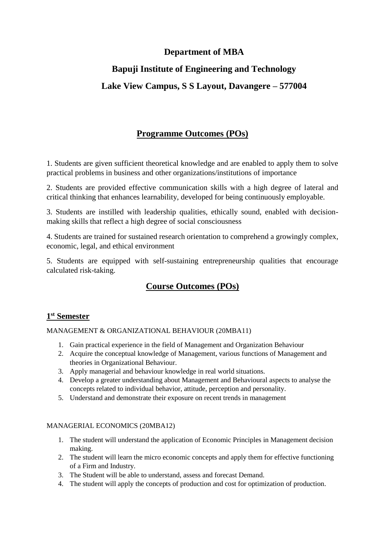# **Department of MBA**

# **Bapuji Institute of Engineering and Technology Lake View Campus, S S Layout, Davangere – 577004**

# **Programme Outcomes (POs)**

1. Students are given sufficient theoretical knowledge and are enabled to apply them to solve practical problems in business and other organizations/institutions of importance

2. Students are provided effective communication skills with a high degree of lateral and critical thinking that enhances learnability, developed for being continuously employable.

3. Students are instilled with leadership qualities, ethically sound, enabled with decisionmaking skills that reflect a high degree of social consciousness

4. Students are trained for sustained research orientation to comprehend a growingly complex, economic, legal, and ethical environment

5. Students are equipped with self-sustaining entrepreneurship qualities that encourage calculated risk-taking.

# **Course Outcomes (POs)**

# **1 st Semester**

MANAGEMENT & ORGANIZATIONAL BEHAVIOUR (20MBA11)

- 1. Gain practical experience in the field of Management and Organization Behaviour
- 2. Acquire the conceptual knowledge of Management, various functions of Management and theories in Organizational Behaviour.
- 3. Apply managerial and behaviour knowledge in real world situations.
- 4. Develop a greater understanding about Management and Behavioural aspects to analyse the concepts related to individual behavior, attitude, perception and personality.
- 5. Understand and demonstrate their exposure on recent trends in management

#### MANAGERIAL ECONOMICS (20MBA12)

- 1. The student will understand the application of Economic Principles in Management decision making.
- 2. The student will learn the micro economic concepts and apply them for effective functioning of a Firm and Industry.
- 3. The Student will be able to understand, assess and forecast Demand.
- 4. The student will apply the concepts of production and cost for optimization of production.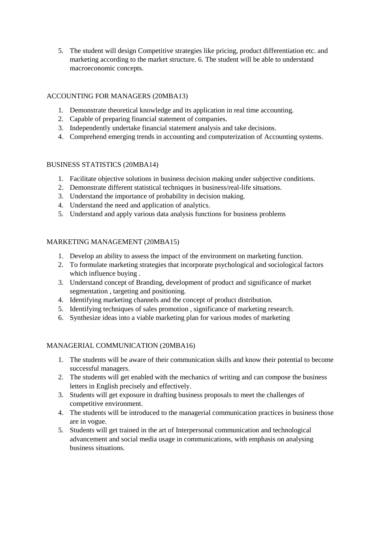5. The student will design Competitive strategies like pricing, product differentiation etc. and marketing according to the market structure. 6. The student will be able to understand macroeconomic concepts.

# ACCOUNTING FOR MANAGERS (20MBA13)

- 1. Demonstrate theoretical knowledge and its application in real time accounting.
- 2. Capable of preparing financial statement of companies.
- 3. Independently undertake financial statement analysis and take decisions.
- 4. Comprehend emerging trends in accounting and computerization of Accounting systems.

# BUSINESS STATISTICS (20MBA14)

- 1. Facilitate objective solutions in business decision making under subjective conditions.
- 2. Demonstrate different statistical techniques in business/real-life situations.
- 3. Understand the importance of probability in decision making.
- 4. Understand the need and application of analytics.
- 5. Understand and apply various data analysis functions for business problems

# MARKETING MANAGEMENT (20MBA15)

- 1. Develop an ability to assess the impact of the environment on marketing function.
- 2. To formulate marketing strategies that incorporate psychological and sociological factors which influence buying .
- 3. Understand concept of Branding, development of product and significance of market segmentation , targeting and positioning.
- 4. Identifying marketing channels and the concept of product distribution.
- 5. Identifying techniques of sales promotion , significance of marketing research.
- 6. Synthesize ideas into a viable marketing plan for various modes of marketing

# MANAGERIAL COMMUNICATION (20MBA16)

- 1. The students will be aware of their communication skills and know their potential to become successful managers.
- 2. The students will get enabled with the mechanics of writing and can compose the business letters in English precisely and effectively.
- 3. Students will get exposure in drafting business proposals to meet the challenges of competitive environment.
- 4. The students will be introduced to the managerial communication practices in business those are in vogue.
- 5. Students will get trained in the art of Interpersonal communication and technological advancement and social media usage in communications, with emphasis on analysing business situations.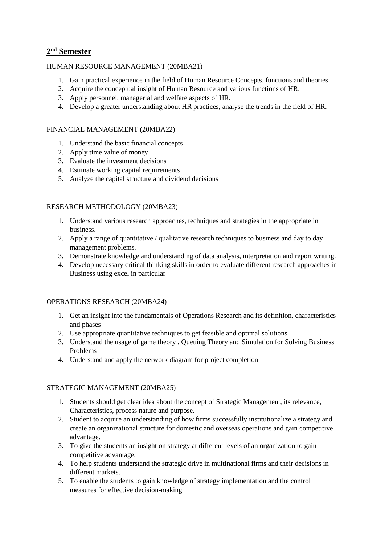# **2 nd Semester**

# HUMAN RESOURCE MANAGEMENT (20MBA21)

- 1. Gain practical experience in the field of Human Resource Concepts, functions and theories.
- 2. Acquire the conceptual insight of Human Resource and various functions of HR.
- 3. Apply personnel, managerial and welfare aspects of HR.
- 4. Develop a greater understanding about HR practices, analyse the trends in the field of HR.

# FINANCIAL MANAGEMENT (20MBA22)

- 1. Understand the basic financial concepts
- 2. Apply time value of money
- 3. Evaluate the investment decisions
- 4. Estimate working capital requirements
- 5. Analyze the capital structure and dividend decisions

# RESEARCH METHODOLOGY (20MBA23)

- 1. Understand various research approaches, techniques and strategies in the appropriate in business.
- 2. Apply a range of quantitative / qualitative research techniques to business and day to day management problems.
- 3. Demonstrate knowledge and understanding of data analysis, interpretation and report writing.
- 4. Develop necessary critical thinking skills in order to evaluate different research approaches in Business using excel in particular

# OPERATIONS RESEARCH (20MBA24)

- 1. Get an insight into the fundamentals of Operations Research and its definition, characteristics and phases
- 2. Use appropriate quantitative techniques to get feasible and optimal solutions
- 3. Understand the usage of game theory , Queuing Theory and Simulation for Solving Business Problems
- 4. Understand and apply the network diagram for project completion

# STRATEGIC MANAGEMENT (20MBA25)

- 1. Students should get clear idea about the concept of Strategic Management, its relevance, Characteristics, process nature and purpose.
- 2. Student to acquire an understanding of how firms successfully institutionalize a strategy and create an organizational structure for domestic and overseas operations and gain competitive advantage.
- 3. To give the students an insight on strategy at different levels of an organization to gain competitive advantage.
- 4. To help students understand the strategic drive in multinational firms and their decisions in different markets.
- 5. To enable the students to gain knowledge of strategy implementation and the control measures for effective decision-making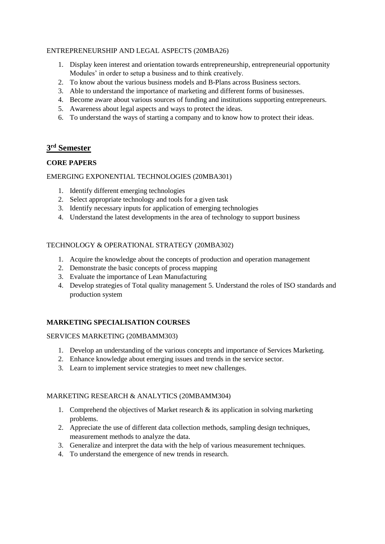# ENTREPRENEURSHIP AND LEGAL ASPECTS (20MBA26)

- 1. Display keen interest and orientation towards entrepreneurship, entrepreneurial opportunity Modules' in order to setup a business and to think creatively.
- 2. To know about the various business models and B-Plans across Business sectors.
- 3. Able to understand the importance of marketing and different forms of businesses.
- 4. Become aware about various sources of funding and institutions supporting entrepreneurs.
- 5. Awareness about legal aspects and ways to protect the ideas.
- 6. To understand the ways of starting a company and to know how to protect their ideas.

# **3 rd Semester**

# **CORE PAPERS**

# EMERGING EXPONENTIAL TECHNOLOGIES (20MBA301)

- 1. Identify different emerging technologies
- 2. Select appropriate technology and tools for a given task
- 3. Identify necessary inputs for application of emerging technologies
- 4. Understand the latest developments in the area of technology to support business

# TECHNOLOGY & OPERATIONAL STRATEGY (20MBA302)

- 1. Acquire the knowledge about the concepts of production and operation management
- 2. Demonstrate the basic concepts of process mapping
- 3. Evaluate the importance of Lean Manufacturing
- 4. Develop strategies of Total quality management 5. Understand the roles of ISO standards and production system

# **MARKETING SPECIALISATION COURSES**

#### SERVICES MARKETING (20MBAMM303)

- 1. Develop an understanding of the various concepts and importance of Services Marketing.
- 2. Enhance knowledge about emerging issues and trends in the service sector.
- 3. Learn to implement service strategies to meet new challenges.

#### MARKETING RESEARCH & ANALYTICS (20MBAMM304)

- 1. Comprehend the objectives of Market research  $\&$  its application in solving marketing problems.
- 2. Appreciate the use of different data collection methods, sampling design techniques, measurement methods to analyze the data.
- 3. Generalize and interpret the data with the help of various measurement techniques.
- 4. To understand the emergence of new trends in research.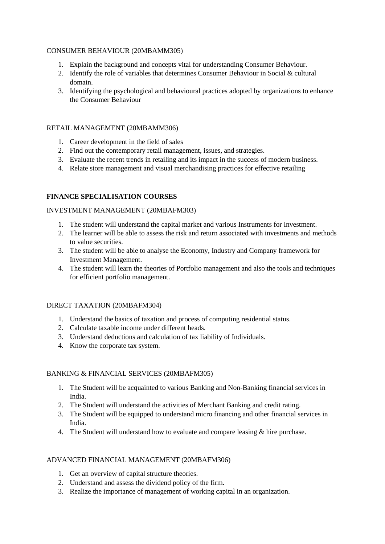### CONSUMER BEHAVIOUR (20MBAMM305)

- 1. Explain the background and concepts vital for understanding Consumer Behaviour.
- 2. Identify the role of variables that determines Consumer Behaviour in Social & cultural domain.
- 3. Identifying the psychological and behavioural practices adopted by organizations to enhance the Consumer Behaviour

# RETAIL MANAGEMENT (20MBAMM306)

- 1. Career development in the field of sales
- 2. Find out the contemporary retail management, issues, and strategies.
- 3. Evaluate the recent trends in retailing and its impact in the success of modern business.
- 4. Relate store management and visual merchandising practices for effective retailing

# **FINANCE SPECIALISATION COURSES**

#### INVESTMENT MANAGEMENT (20MBAFM303)

- 1. The student will understand the capital market and various Instruments for Investment.
- 2. The learner will be able to assess the risk and return associated with investments and methods to value securities.
- 3. The student will be able to analyse the Economy, Industry and Company framework for Investment Management.
- 4. The student will learn the theories of Portfolio management and also the tools and techniques for efficient portfolio management.

#### DIRECT TAXATION (20MBAFM304)

- 1. Understand the basics of taxation and process of computing residential status.
- 2. Calculate taxable income under different heads.
- 3. Understand deductions and calculation of tax liability of Individuals.
- 4. Know the corporate tax system.

#### BANKING & FINANCIAL SERVICES (20MBAFM305)

- 1. The Student will be acquainted to various Banking and Non-Banking financial services in India.
- 2. The Student will understand the activities of Merchant Banking and credit rating.
- 3. The Student will be equipped to understand micro financing and other financial services in India.
- 4. The Student will understand how to evaluate and compare leasing & hire purchase.

#### ADVANCED FINANCIAL MANAGEMENT (20MBAFM306)

- 1. Get an overview of capital structure theories.
- 2. Understand and assess the dividend policy of the firm.
- 3. Realize the importance of management of working capital in an organization.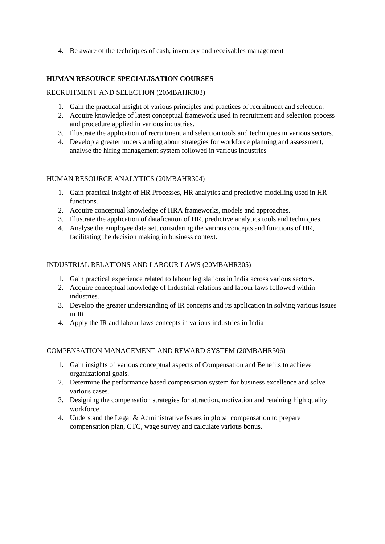4. Be aware of the techniques of cash, inventory and receivables management

# **HUMAN RESOURCE SPECIALISATION COURSES**

# RECRUITMENT AND SELECTION (20MBAHR303)

- 1. Gain the practical insight of various principles and practices of recruitment and selection.
- 2. Acquire knowledge of latest conceptual framework used in recruitment and selection process and procedure applied in various industries.
- 3. Illustrate the application of recruitment and selection tools and techniques in various sectors.
- 4. Develop a greater understanding about strategies for workforce planning and assessment, analyse the hiring management system followed in various industries

# HUMAN RESOURCE ANALYTICS (20MBAHR304)

- 1. Gain practical insight of HR Processes, HR analytics and predictive modelling used in HR functions.
- 2. Acquire conceptual knowledge of HRA frameworks, models and approaches.
- 3. Illustrate the application of datafication of HR, predictive analytics tools and techniques.
- 4. Analyse the employee data set, considering the various concepts and functions of HR, facilitating the decision making in business context.

# INDUSTRIAL RELATIONS AND LABOUR LAWS (20MBAHR305)

- 1. Gain practical experience related to labour legislations in India across various sectors.
- 2. Acquire conceptual knowledge of Industrial relations and labour laws followed within industries.
- 3. Develop the greater understanding of IR concepts and its application in solving various issues in IR.
- 4. Apply the IR and labour laws concepts in various industries in India

# COMPENSATION MANAGEMENT AND REWARD SYSTEM (20MBAHR306)

- 1. Gain insights of various conceptual aspects of Compensation and Benefits to achieve organizational goals.
- 2. Determine the performance based compensation system for business excellence and solve various cases.
- 3. Designing the compensation strategies for attraction, motivation and retaining high quality workforce.
- 4. Understand the Legal & Administrative Issues in global compensation to prepare compensation plan, CTC, wage survey and calculate various bonus.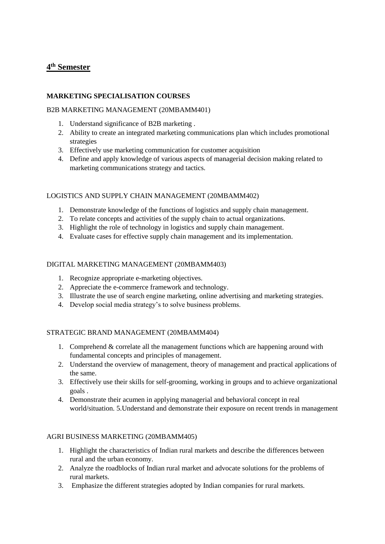# **4 th Semester**

# **MARKETING SPECIALISATION COURSES**

# B2B MARKETING MANAGEMENT (20MBAMM401)

- 1. Understand significance of B2B marketing .
- 2. Ability to create an integrated marketing communications plan which includes promotional strategies
- 3. Effectively use marketing communication for customer acquisition
- 4. Define and apply knowledge of various aspects of managerial decision making related to marketing communications strategy and tactics.

# LOGISTICS AND SUPPLY CHAIN MANAGEMENT (20MBAMM402)

- 1. Demonstrate knowledge of the functions of logistics and supply chain management.
- 2. To relate concepts and activities of the supply chain to actual organizations.
- 3. Highlight the role of technology in logistics and supply chain management.
- 4. Evaluate cases for effective supply chain management and its implementation.

# DIGITAL MARKETING MANAGEMENT (20MBAMM403)

- 1. Recognize appropriate e-marketing objectives.
- 2. Appreciate the e-commerce framework and technology.
- 3. Illustrate the use of search engine marketing, online advertising and marketing strategies.
- 4. Develop social media strategy's to solve business problems.

# STRATEGIC BRAND MANAGEMENT (20MBAMM404)

- 1. Comprehend & correlate all the management functions which are happening around with fundamental concepts and principles of management.
- 2. Understand the overview of management, theory of management and practical applications of the same.
- 3. Effectively use their skills for self-grooming, working in groups and to achieve organizational goals .
- 4. Demonstrate their acumen in applying managerial and behavioral concept in real world/situation. 5.Understand and demonstrate their exposure on recent trends in management

#### AGRI BUSINESS MARKETING (20MBAMM405)

- 1. Highlight the characteristics of Indian rural markets and describe the differences between rural and the urban economy.
- 2. Analyze the roadblocks of Indian rural market and advocate solutions for the problems of rural markets.
- 3. Emphasize the different strategies adopted by Indian companies for rural markets.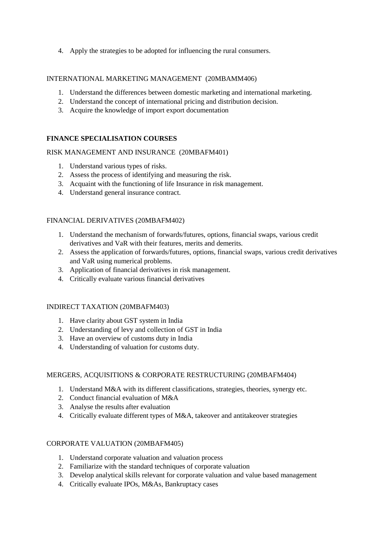4. Apply the strategies to be adopted for influencing the rural consumers.

#### INTERNATIONAL MARKETING MANAGEMENT (20MBAMM406)

- 1. Understand the differences between domestic marketing and international marketing.
- 2. Understand the concept of international pricing and distribution decision.
- 3. Acquire the knowledge of import export documentation

# **FINANCE SPECIALISATION COURSES**

#### RISK MANAGEMENT AND INSURANCE (20MBAFM401)

- 1. Understand various types of risks.
- 2. Assess the process of identifying and measuring the risk.
- 3. Acquaint with the functioning of life Insurance in risk management.
- 4. Understand general insurance contract.

# FINANCIAL DERIVATIVES (20MBAFM402)

- 1. Understand the mechanism of forwards/futures, options, financial swaps, various credit derivatives and VaR with their features, merits and demerits.
- 2. Assess the application of forwards/futures, options, financial swaps, various credit derivatives and VaR using numerical problems.
- 3. Application of financial derivatives in risk management.
- 4. Critically evaluate various financial derivatives

#### INDIRECT TAXATION (20MBAFM403)

- 1. Have clarity about GST system in India
- 2. Understanding of levy and collection of GST in India
- 3. Have an overview of customs duty in India
- 4. Understanding of valuation for customs duty.

#### MERGERS, ACQUISITIONS & CORPORATE RESTRUCTURING (20MBAFM404)

- 1. Understand M&A with its different classifications, strategies, theories, synergy etc.
- 2. Conduct financial evaluation of M&A
- 3. Analyse the results after evaluation
- 4. Critically evaluate different types of M&A, takeover and antitakeover strategies

#### CORPORATE VALUATION (20MBAFM405)

- 1. Understand corporate valuation and valuation process
- 2. Familiarize with the standard techniques of corporate valuation
- 3. Develop analytical skills relevant for corporate valuation and value based management
- 4. Critically evaluate IPOs, M&As, Bankruptacy cases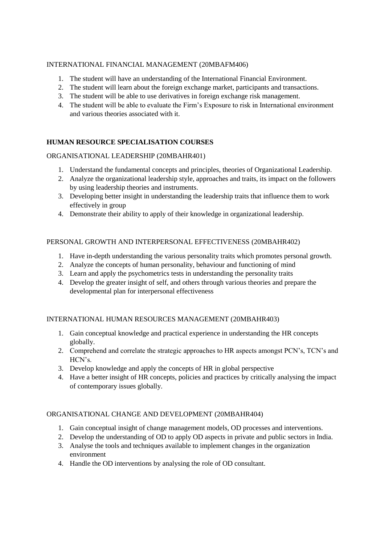# INTERNATIONAL FINANCIAL MANAGEMENT (20MBAFM406)

- 1. The student will have an understanding of the International Financial Environment.
- 2. The student will learn about the foreign exchange market, participants and transactions.
- 3. The student will be able to use derivatives in foreign exchange risk management.
- 4. The student will be able to evaluate the Firm's Exposure to risk in International environment and various theories associated with it.

# **HUMAN RESOURCE SPECIALISATION COURSES**

# ORGANISATIONAL LEADERSHIP (20MBAHR401)

- 1. Understand the fundamental concepts and principles, theories of Organizational Leadership.
- 2. Analyze the organizational leadership style, approaches and traits, its impact on the followers by using leadership theories and instruments.
- 3. Developing better insight in understanding the leadership traits that influence them to work effectively in group
- 4. Demonstrate their ability to apply of their knowledge in organizational leadership.

# PERSONAL GROWTH AND INTERPERSONAL EFFECTIVENESS (20MBAHR402)

- 1. Have in-depth understanding the various personality traits which promotes personal growth.
- 2. Analyze the concepts of human personality, behaviour and functioning of mind
- 3. Learn and apply the psychometrics tests in understanding the personality traits
- 4. Develop the greater insight of self, and others through various theories and prepare the developmental plan for interpersonal effectiveness

# INTERNATIONAL HUMAN RESOURCES MANAGEMENT (20MBAHR403)

- 1. Gain conceptual knowledge and practical experience in understanding the HR concepts globally.
- 2. Comprehend and correlate the strategic approaches to HR aspects amongst PCN's, TCN's and  $HCN's$
- 3. Develop knowledge and apply the concepts of HR in global perspective
- 4. Have a better insight of HR concepts, policies and practices by critically analysing the impact of contemporary issues globally.

# ORGANISATIONAL CHANGE AND DEVELOPMENT (20MBAHR404)

- 1. Gain conceptual insight of change management models, OD processes and interventions.
- 2. Develop the understanding of OD to apply OD aspects in private and public sectors in India.
- 3. Analyse the tools and techniques available to implement changes in the organization environment
- 4. Handle the OD interventions by analysing the role of OD consultant.